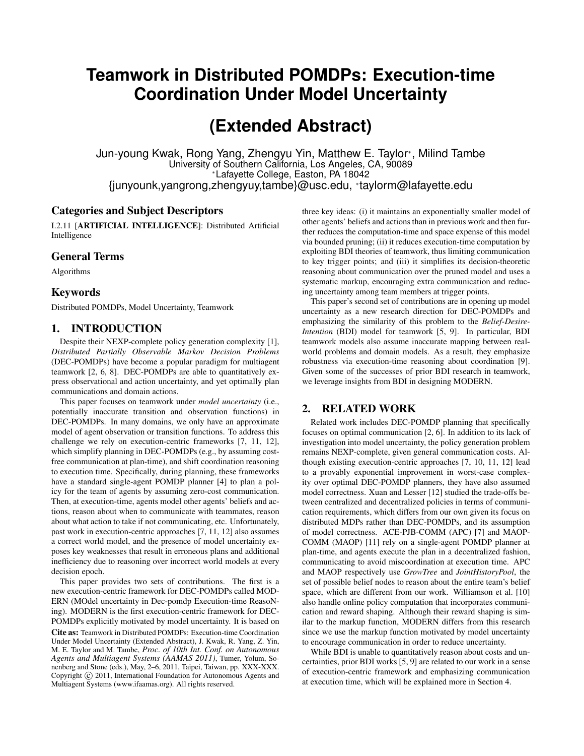## **Teamwork in Distributed POMDPs: Execution-time Coordination Under Model Uncertainty**

# **(Extended Abstract)**

Jun-young Kwak, Rong Yang, Zhengyu Yin, Matthew E. Taylor<sup>∗</sup> , Milind Tambe University of Southern California, Los Angeles, CA, 90089 <sup>∗</sup>Lafayette College, Easton, PA 18042 {junyounk,yangrong,zhengyuy,tambe}@usc.edu, <sup>∗</sup> taylorm@lafayette.edu

## Categories and Subject Descriptors

I.2.11 [ARTIFICIAL INTELLIGENCE]: Distributed Artificial Intelligence

### General Terms

Algorithms

#### Keywords

Distributed POMDPs, Model Uncertainty, Teamwork

#### 1. INTRODUCTION

Despite their NEXP-complete policy generation complexity [1], *Distributed Partially Observable Markov Decision Problems* (DEC-POMDPs) have become a popular paradigm for multiagent teamwork [2, 6, 8]. DEC-POMDPs are able to quantitatively express observational and action uncertainty, and yet optimally plan communications and domain actions.

This paper focuses on teamwork under *model uncertainty* (i.e., potentially inaccurate transition and observation functions) in DEC-POMDPs. In many domains, we only have an approximate model of agent observation or transition functions. To address this challenge we rely on execution-centric frameworks [7, 11, 12], which simplify planning in DEC-POMDPs (e.g., by assuming costfree communication at plan-time), and shift coordination reasoning to execution time. Specifically, during planning, these frameworks have a standard single-agent POMDP planner [4] to plan a policy for the team of agents by assuming zero-cost communication. Then, at execution-time, agents model other agents' beliefs and actions, reason about when to communicate with teammates, reason about what action to take if not communicating, etc. Unfortunately, past work in execution-centric approaches [7, 11, 12] also assumes a correct world model, and the presence of model uncertainty exposes key weaknesses that result in erroneous plans and additional inefficiency due to reasoning over incorrect world models at every decision epoch.

This paper provides two sets of contributions. The first is a new execution-centric framework for DEC-POMDPs called MOD-ERN (MOdel uncertainty in Dec-pomdp Execution-time ReasoNing). MODERN is the first execution-centric framework for DEC-POMDPs explicitly motivated by model uncertainty. It is based on

Cite as: Teamwork in Distributed POMDPs: Execution-time Coordination Under Model Uncertainty (Extended Abstract), J. Kwak, R. Yang, Z. Yin, M. E. Taylor and M. Tambe, *Proc. of 10th Int. Conf. on Autonomous Agents and Multiagent Systems (AAMAS 2011)*, Tumer, Yolum, Sonenberg and Stone (eds.), May, 2–6, 2011, Taipei, Taiwan, pp. XXX-XXX. Copyright (C) 2011, International Foundation for Autonomous Agents and Multiagent Systems (www.ifaamas.org). All rights reserved.

three key ideas: (i) it maintains an exponentially smaller model of other agents' beliefs and actions than in previous work and then further reduces the computation-time and space expense of this model via bounded pruning; (ii) it reduces execution-time computation by exploiting BDI theories of teamwork, thus limiting communication to key trigger points; and (iii) it simplifies its decision-theoretic reasoning about communication over the pruned model and uses a systematic markup, encouraging extra communication and reducing uncertainty among team members at trigger points.

This paper's second set of contributions are in opening up model uncertainty as a new research direction for DEC-POMDPs and emphasizing the similarity of this problem to the *Belief-Desire-Intention* (BDI) model for teamwork [5, 9]. In particular, BDI teamwork models also assume inaccurate mapping between realworld problems and domain models. As a result, they emphasize robustness via execution-time reasoning about coordination [9]. Given some of the successes of prior BDI research in teamwork, we leverage insights from BDI in designing MODERN.

#### 2. RELATED WORK

Related work includes DEC-POMDP planning that specifically focuses on optimal communication [2, 6]. In addition to its lack of investigation into model uncertainty, the policy generation problem remains NEXP-complete, given general communication costs. Although existing execution-centric approaches [7, 10, 11, 12] lead to a provably exponential improvement in worst-case complexity over optimal DEC-POMDP planners, they have also assumed model correctness. Xuan and Lesser [12] studied the trade-offs between centralized and decentralized policies in terms of communication requirements, which differs from our own given its focus on distributed MDPs rather than DEC-POMDPs, and its assumption of model correctness. ACE-PJB-COMM (APC) [7] and MAOP-COMM (MAOP) [11] rely on a single-agent POMDP planner at plan-time, and agents execute the plan in a decentralized fashion, communicating to avoid miscoordination at execution time. APC and MAOP respectively use *GrowTree* and *JointHistoryPool*, the set of possible belief nodes to reason about the entire team's belief space, which are different from our work. Williamson et al. [10] also handle online policy computation that incorporates communication and reward shaping. Although their reward shaping is similar to the markup function, MODERN differs from this research since we use the markup function motivated by model uncertainty to encourage communication in order to reduce uncertainty.

While BDI is unable to quantitatively reason about costs and uncertainties, prior BDI works [5, 9] are related to our work in a sense of execution-centric framework and emphasizing communication at execution time, which will be explained more in Section 4.